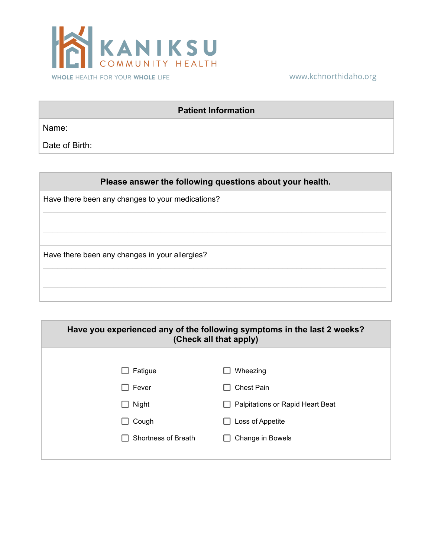

## www.kchnorthidaho.org

## **Patient Information**

Name:

Date of Birth:

## **Please answer the following questions about your health.**

 $\mathcal{L}_\mathcal{L} = \mathcal{L}_\mathcal{L} = \mathcal{L}_\mathcal{L} = \mathcal{L}_\mathcal{L} = \mathcal{L}_\mathcal{L} = \mathcal{L}_\mathcal{L} = \mathcal{L}_\mathcal{L} = \mathcal{L}_\mathcal{L} = \mathcal{L}_\mathcal{L} = \mathcal{L}_\mathcal{L} = \mathcal{L}_\mathcal{L} = \mathcal{L}_\mathcal{L} = \mathcal{L}_\mathcal{L} = \mathcal{L}_\mathcal{L} = \mathcal{L}_\mathcal{L} = \mathcal{L}_\mathcal{L} = \mathcal{L}_\mathcal{L}$ 

 $\mathcal{L}_\mathcal{L} = \mathcal{L}_\mathcal{L} = \mathcal{L}_\mathcal{L} = \mathcal{L}_\mathcal{L} = \mathcal{L}_\mathcal{L} = \mathcal{L}_\mathcal{L} = \mathcal{L}_\mathcal{L} = \mathcal{L}_\mathcal{L} = \mathcal{L}_\mathcal{L} = \mathcal{L}_\mathcal{L} = \mathcal{L}_\mathcal{L} = \mathcal{L}_\mathcal{L} = \mathcal{L}_\mathcal{L} = \mathcal{L}_\mathcal{L} = \mathcal{L}_\mathcal{L} = \mathcal{L}_\mathcal{L} = \mathcal{L}_\mathcal{L}$ 

 $\mathcal{L}_\mathcal{L} = \mathcal{L}_\mathcal{L} = \mathcal{L}_\mathcal{L} = \mathcal{L}_\mathcal{L} = \mathcal{L}_\mathcal{L} = \mathcal{L}_\mathcal{L} = \mathcal{L}_\mathcal{L} = \mathcal{L}_\mathcal{L} = \mathcal{L}_\mathcal{L} = \mathcal{L}_\mathcal{L} = \mathcal{L}_\mathcal{L} = \mathcal{L}_\mathcal{L} = \mathcal{L}_\mathcal{L} = \mathcal{L}_\mathcal{L} = \mathcal{L}_\mathcal{L} = \mathcal{L}_\mathcal{L} = \mathcal{L}_\mathcal{L}$ 

 $\mathcal{L}_\mathcal{L} = \mathcal{L}_\mathcal{L} = \mathcal{L}_\mathcal{L} = \mathcal{L}_\mathcal{L} = \mathcal{L}_\mathcal{L} = \mathcal{L}_\mathcal{L} = \mathcal{L}_\mathcal{L} = \mathcal{L}_\mathcal{L} = \mathcal{L}_\mathcal{L} = \mathcal{L}_\mathcal{L} = \mathcal{L}_\mathcal{L} = \mathcal{L}_\mathcal{L} = \mathcal{L}_\mathcal{L} = \mathcal{L}_\mathcal{L} = \mathcal{L}_\mathcal{L} = \mathcal{L}_\mathcal{L} = \mathcal{L}_\mathcal{L}$ 

Have there been any changes to your medications?

Have there been any changes in your allergies?

| Have you experienced any of the following symptoms in the last 2 weeks?<br>(Check all that apply) |                                  |  |  |  |  |
|---------------------------------------------------------------------------------------------------|----------------------------------|--|--|--|--|
|                                                                                                   |                                  |  |  |  |  |
| Fatigue                                                                                           | Wheezing                         |  |  |  |  |
| Fever                                                                                             | <b>Chest Pain</b>                |  |  |  |  |
| Night                                                                                             | Palpitations or Rapid Heart Beat |  |  |  |  |
| Cough                                                                                             | Loss of Appetite                 |  |  |  |  |
| Shortness of Breath                                                                               | Change in Bowels                 |  |  |  |  |
|                                                                                                   |                                  |  |  |  |  |